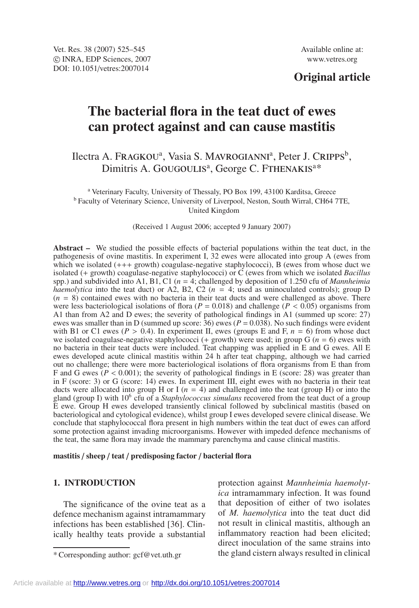# **Original article**

# **The bacterial flora in the teat duct of ewes can protect against and can cause mastitis**

# Ilectra A. Fragkou<sup>a</sup>, Vasia S. Mavrogianni<sup>a</sup>, Peter J. Cripps<sup>b</sup>, Dimitris A. GOUGOULIS<sup>a</sup>, George C. FTHENAKIS<sup>a\*</sup>

<sup>a</sup> Veterinary Faculty, University of Thessaly, PO Box 199, 43100 Karditsa, Greece <sup>b</sup> Faculty of Veterinary Science, University of Liverpool, Neston, South Wirral, CH64 7TE, United Kingdom

(Received 1 August 2006; accepted 9 January 2007)

**Abstract –** We studied the possible effects of bacterial populations within the teat duct, in the pathogenesis of ovine mastitis. In experiment I, 32 ewes were allocated into group A (ewes from which we isolated  $(++)$  growth) coagulase-negative staphylococci), B (ewes from whose duct we isolated (+ growth) coagulase-negative staphylococci) or C (ewes from which we isolated *Bacillus* spp.) and subdivided into A1, B1, C1 (*n* = 4; challenged by deposition of 1.250 cfu of *Mannheimia haemolytica* into the teat duct) or A2, B2, C2 ( $n = 4$ ; used as uninoculated controls); group D  $(n = 8)$  contained ewes with no bacteria in their teat ducts and were challenged as above. There were less bacteriological isolations of flora ( $P = 0.018$ ) and challenge ( $P < 0.05$ ) organisms from A1 than from A2 and D ewes; the severity of pathological findings in A1 (summed up score: 27) ewes was smaller than in D (summed up score:  $36$ ) ewes ( $P = 0.038$ ). No such findings were evident with B1 or C1 ewes ( $P > 0.4$ ). In experiment II, ewes (groups E and F,  $n = 6$ ) from whose duct we isolated coagulase-negative staphylococci (+ growth) were used; in group G ( $n = 6$ ) ewes with no bacteria in their teat ducts were included. Teat chapping was applied in E and G ewes. All E ewes developed acute clinical mastitis within 24 h after teat chapping, although we had carried out no challenge; there were more bacteriological isolations of flora organisms from E than from F and G ewes  $(P < 0.001)$ ; the severity of pathological findings in E (score: 28) was greater than in F (score: 3) or G (score: 14) ewes. In experiment III, eight ewes with no bacteria in their teat ducts were allocated into group H or I ( $n = 4$ ) and challenged into the teat (group H) or into the gland (group I) with 106 cfu of a *Staphylococcus simulans* recovered from the teat duct of a group E ewe. Group H ewes developed transiently clinical followed by subclinical mastitis (based on bacteriological and cytological evidence), whilst group I ewes developed severe clinical disease. We conclude that staphylococcal flora present in high numbers within the teat duct of ewes can afford some protection against invading microorganisms. However with impeded defence mechanisms of the teat, the same flora may invade the mammary parenchyma and cause clinical mastitis.

**mastitis** / **sheep** / **teat** / **predisposing factor** / **bacterial flora**

#### **1. INTRODUCTION**

The significance of the ovine teat as a defence mechanism against intramammary infections has been established [36]. Clinically healthy teats provide a substantial protection against *Mannheimia haemolytica* intramammary infection. It was found that deposition of either of two isolates of *M. haemolytica* into the teat duct did not result in clinical mastitis, although an inflammatory reaction had been elicited; direct inoculation of the same strains into the gland cistern always resulted in clinical

<sup>\*</sup> Corresponding author: gcf@vet.uth.gr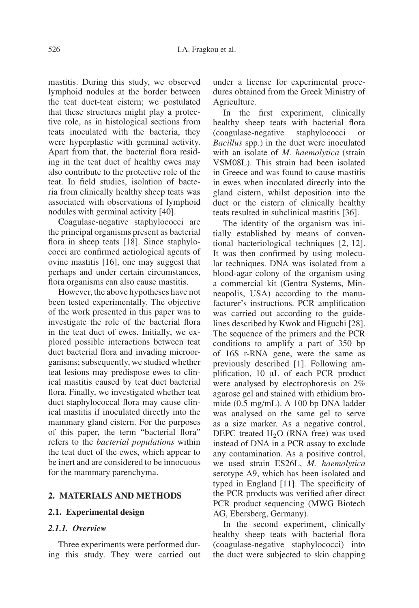mastitis. During this study, we observed lymphoid nodules at the border between the teat duct-teat cistern; we postulated that these structures might play a protective role, as in histological sections from teats inoculated with the bacteria, they were hyperplastic with germinal activity. Apart from that, the bacterial flora residing in the teat duct of healthy ewes may also contribute to the protective role of the teat. In field studies, isolation of bacteria from clinically healthy sheep teats was associated with observations of lymphoid nodules with germinal activity [40].

Coagulase-negative staphylococci are the principal organisms present as bacterial flora in sheep teats [18]. Since staphylococci are confirmed aetiological agents of ovine mastitis [16], one may suggest that perhaps and under certain circumstances, flora organisms can also cause mastitis.

However, the above hypotheses have not been tested experimentally. The objective of the work presented in this paper was to investigate the role of the bacterial flora in the teat duct of ewes. Initially, we explored possible interactions between teat duct bacterial flora and invading microorganisms; subsequently, we studied whether teat lesions may predispose ewes to clinical mastitis caused by teat duct bacterial flora. Finally, we investigated whether teat duct staphylococcal flora may cause clinical mastitis if inoculated directly into the mammary gland cistern. For the purposes of this paper, the term "bacterial flora" refers to the *bacterial populations* within the teat duct of the ewes, which appear to be inert and are considered to be innocuous for the mammary parenchyma.

#### **2. MATERIALS AND METHODS**

#### **2.1. Experimental design**

#### *2.1.1. Overview*

Three experiments were performed during this study. They were carried out under a license for experimental procedures obtained from the Greek Ministry of Agriculture.

In the first experiment, clinically healthy sheep teats with bacterial flora (coagulase-negative staphylococci or *Bacillus* spp.) in the duct were inoculated with an isolate of *M*. *haemolytica* (strain VSM08L). This strain had been isolated in Greece and was found to cause mastitis in ewes when inoculated directly into the gland cistern, whilst deposition into the duct or the cistern of clinically healthy teats resulted in subclinical mastitis [36].

The identity of the organism was initially established by means of conventional bacteriological techniques [2, 12]. It was then confirmed by using molecular techniques. DNA was isolated from a blood-agar colony of the organism using a commercial kit (Gentra Systems, Minneapolis, USA) according to the manufacturer's instructions. PCR amplification was carried out according to the guidelines described by Kwok and Higuchi [28]. The sequence of the primers and the PCR conditions to amplify a part of 350 bp of 16S r-RNA gene, were the same as previously described [1]. Following amplification, 10 µL of each PCR product were analysed by electrophoresis on 2% agarose gel and stained with ethidium bromide (0.5 mg/mL). A 100 bp DNA ladder was analysed on the same gel to serve as a size marker. As a negative control, DEPC treated  $H_2O$  (RNA free) was used instead of DNA in a PCR assay to exclude any contamination. As a positive control, we used strain ES26L, *M. haemolytica* serotype A9, which has been isolated and typed in England [11]. The specificity of the PCR products was verified after direct PCR product sequencing (MWG Biotech AG, Ebersberg, Germany).

In the second experiment, clinically healthy sheep teats with bacterial flora (coagulase-negative staphylococci) into the duct were subjected to skin chapping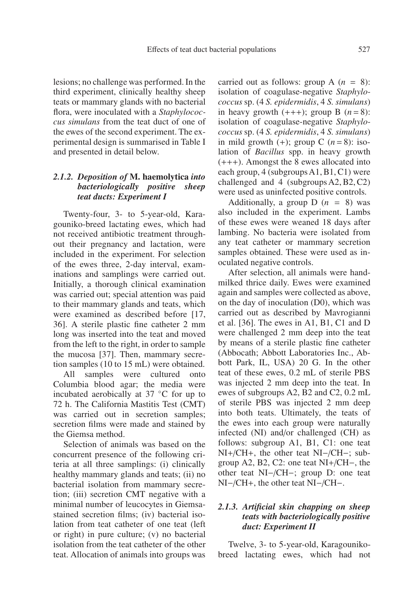lesions; no challenge was performed. In the third experiment, clinically healthy sheep teats or mammary glands with no bacterial flora, were inoculated with a *Staphylococcus simulans* from the teat duct of one of the ewes of the second experiment. The experimental design is summarised in Table I and presented in detail below.

### *2.1.2. Deposition of* **M. haemolytica** *into bacteriologically positive sheep teat ducts: Experiment I*

Twenty-four, 3- to 5-year-old, Karagouniko-breed lactating ewes, which had not received antibiotic treatment throughout their pregnancy and lactation, were included in the experiment. For selection of the ewes three, 2-day interval, examinations and samplings were carried out. Initially, a thorough clinical examination was carried out; special attention was paid to their mammary glands and teats, which were examined as described before [17, 36]. A sterile plastic fine catheter 2 mm long was inserted into the teat and moved from the left to the right, in order to sample the mucosa [37]. Then, mammary secretion samples (10 to 15 mL) were obtained.

All samples were cultured onto Columbia blood agar; the media were incubated aerobically at 37 ◦C for up to 72 h. The California Mastitis Test (CMT) was carried out in secretion samples; secretion films were made and stained by the Giemsa method.

Selection of animals was based on the concurrent presence of the following criteria at all three samplings: (i) clinically healthy mammary glands and teats; (ii) no bacterial isolation from mammary secretion; (iii) secretion CMT negative with a minimal number of leucocytes in Giemsastained secretion films; (iv) bacterial isolation from teat catheter of one teat (left or right) in pure culture; (v) no bacterial isolation from the teat catheter of the other teat. Allocation of animals into groups was

carried out as follows: group A  $(n = 8)$ : isolation of coagulase-negative *Staphylococcus* sp. (4 *S. epidermidis*, 4 *S. simulans*) in heavy growth  $(+++)$ ; group B  $(n=8)$ : isolation of coagulase-negative *Staphylococcus* sp. (4 *S. epidermidis*, 4 *S. simulans*) in mild growth  $(+)$ ; group C  $(n=8)$ : isolation of *Bacillus* spp. in heavy growth (+++). Amongst the 8 ewes allocated into each group, 4 (subgroups A1, B1, C1) were challenged and 4 (subgroups A2, B2, C2) were used as uninfected positive controls.

Additionally, a group  $D(n = 8)$  was also included in the experiment. Lambs of these ewes were weaned 18 days after lambing. No bacteria were isolated from any teat catheter or mammary secretion samples obtained. These were used as inoculated negative controls.

After selection, all animals were handmilked thrice daily. Ewes were examined again and samples were collected as above, on the day of inoculation (D0), which was carried out as described by Mavrogianni et al. [36]. The ewes in A1, B1, C1 and D were challenged 2 mm deep into the teat by means of a sterile plastic fine catheter (Abbocath; Abbott Laboratories Inc., Abbott Park, IL, USA) 20 G. In the other teat of these ewes, 0.2 mL of sterile PBS was injected 2 mm deep into the teat. In ewes of subgroups A2, B2 and C2, 0.2 mL of sterile PBS was injected 2 mm deep into both teats. Ultimately, the teats of the ewes into each group were naturally infected (NI) and/or challenged (CH) as follows: subgroup A1, B1, C1: one teat NI+/CH+, the other teat NI−/CH−; subgroup A2, B2, C2: one teat NI+/CH−, the other teat NI−/CH−; group D: one teat NI−/CH+, the other teat NI−/CH−.

#### *2.1.3. Artificial skin chapping on sheep teats with bacteriologically positive duct: Experiment II*

Twelve, 3- to 5-year-old, Karagounikobreed lactating ewes, which had not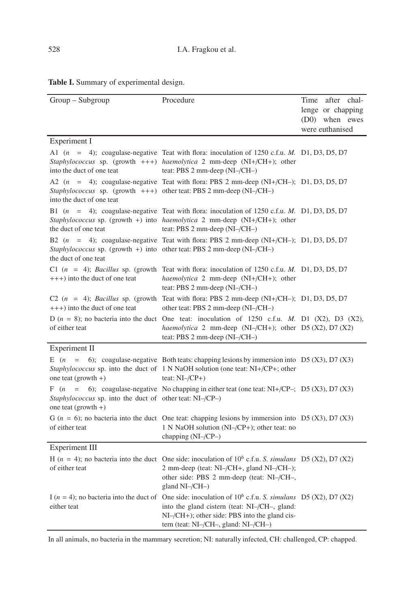|  |  |  | Table I. Summary of experimental design. |  |
|--|--|--|------------------------------------------|--|
|--|--|--|------------------------------------------|--|

| Group - Subgroup                                                                | Procedure                                                                                                                                                                                                                                                                                | Time<br>after<br>chal- |
|---------------------------------------------------------------------------------|------------------------------------------------------------------------------------------------------------------------------------------------------------------------------------------------------------------------------------------------------------------------------------------|------------------------|
|                                                                                 |                                                                                                                                                                                                                                                                                          | lenge or chapping      |
|                                                                                 |                                                                                                                                                                                                                                                                                          | (D0) when ewes         |
|                                                                                 |                                                                                                                                                                                                                                                                                          | were euthanised        |
| Experiment I                                                                    |                                                                                                                                                                                                                                                                                          |                        |
| into the duct of one teat                                                       | A1 $(n = 4)$ ; coagulase-negative Teat with flora: inoculation of 1250 c.f.u. M. D1, D3, D5, D7<br>Staphylococcus sp. (growth $++$ ) haemolytica 2 mm-deep (NI+/CH+); other<br>teat: PBS 2 mm-deep (NI-/CH-)                                                                             |                        |
| into the duct of one teat                                                       | A2 $(n = 4)$ ; coagulase-negative Teat with flora: PBS 2 mm-deep (NI+/CH-); D1, D3, D5, D7<br><i>Staphylococcus</i> sp. (growth $++$ ) other teat: PBS 2 mm-deep (NI-/CH-)                                                                                                               |                        |
| the duct of one teat                                                            | B1 $(n = 4)$ ; coagulase-negative Teat with flora: inoculation of 1250 c.f.u. M. D1, D3, D5, D7<br>Staphylococcus sp. (growth +) into haemolytica 2 mm-deep (NI+/CH+); other<br>teat: PBS 2 mm-deep (NI-/CH-)                                                                            |                        |
| the duct of one teat                                                            | B2 $(n = 4)$ ; coagulase-negative Teat with flora: PBS 2 mm-deep $(NI+(CH-); D1, D3, D5, D7)$<br>Staphylococcus sp. (growth +) into other teat: PBS 2 mm-deep (NI-/CH-)                                                                                                                  |                        |
| $+++)$ into the duct of one teat                                                | C1 $(n = 4)$ ; Bacillus sp. (growth Teat with flora: inoculation of 1250 c.f.u. M. D1, D3, D5, D7<br>haemolytica 2 mm-deep (NI+/CH+); other<br>teat: PBS 2 mm-deep (NI-/CH-)                                                                                                             |                        |
| $+++)$ into the duct of one teat                                                | C2 $(n = 4)$ ; Bacillus sp. (growth Teat with flora: PBS 2 mm-deep (NI+/CH-); D1, D3, D5, D7<br>other teat: PBS 2 mm-deep (NI-/CH-)                                                                                                                                                      |                        |
| of either teat                                                                  | D ( $n = 8$ ); no bacteria into the duct One teat: inoculation of 1250 c.f.u. M. D1 (X2), D3 (X2),<br>haemolytica 2 mm-deep (NI-/CH+); other D5 (X2), D7 (X2)<br>teat: PBS 2 mm-deep $(NI$ –/CH–)                                                                                        |                        |
| Experiment II                                                                   |                                                                                                                                                                                                                                                                                          |                        |
| one teat $(growth +)$                                                           | E $(n = 6)$ ; coagulase-negative Both teats: chapping lesions by immersion into D5 (X3), D7 (X3)<br>Staphylococcus sp. into the duct of 1 N NaOH solution (one teat: NI+/CP+; other<br>teat: $NI$ –/ $CP$ +)                                                                             |                        |
| Staphylococcus sp. into the duct of other teat: NI-/CP-)<br>one teat (growth +) | F $(n = 6)$ ; coagulase-negative No chapping in either teat (one teat: NI+/CP-; D5 (X3), D7 (X3)                                                                                                                                                                                         |                        |
| of either teat                                                                  | G ( $n = 6$ ); no bacteria into the duct One teat: chapping lesions by immersion into D5 (X3), D7 (X3)<br>1 N NaOH solution (NI-/CP+); other teat: no<br>chapping $(NI$ –/CP–)                                                                                                           |                        |
| Experiment III                                                                  |                                                                                                                                                                                                                                                                                          |                        |
| of either teat                                                                  | H ( $n = 4$ ); no bacteria into the duct One side: inoculation of 10 <sup>6</sup> c.f.u. S. simulans D5 (X2), D7 (X2)<br>2 mm-deep (teat: NI-/CH+, gland NI-/CH-);<br>other side: PBS 2 mm-deep (teat: NI-/CH-,<br>gland NI-/CH-)                                                        |                        |
| either teat                                                                     | I (n = 4); no bacteria into the duct of One side: inoculation of $10^6$ c.f.u. S. simulans D5 (X2), D7 (X2)<br>into the gland cistern (teat: NI-/CH-, gland:<br>$NI$ $\rightarrow$ $CH$ $+$ ); other side: PBS into the gland cis-<br>tern (teat: $NI$ –/ $CH$ –, gland: $NI$ –/ $CH$ –) |                        |

In all animals, no bacteria in the mammary secretion; NI: naturally infected, CH: challenged, CP: chapped.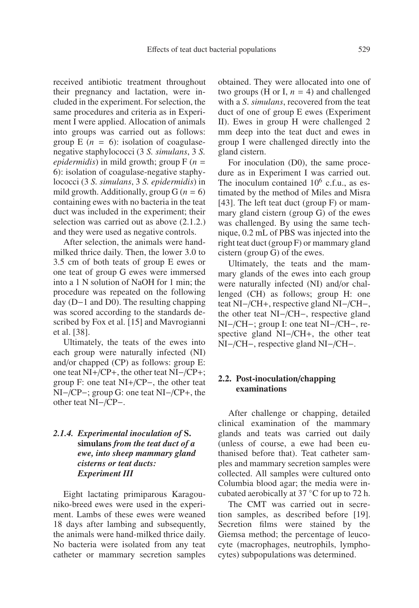received antibiotic treatment throughout their pregnancy and lactation, were included in the experiment. For selection, the same procedures and criteria as in Experiment I were applied. Allocation of animals into groups was carried out as follows: group  $E(n = 6)$ : isolation of coagulasenegative staphylococci (3 *S. simulans*, 3 *S. epidermidis*) in mild growth; group F (*n* = 6): isolation of coagulase-negative staphylococci (3 *S. simulans*, 3 *S. epidermidis*) in mild growth. Additionally, group  $G(n = 6)$ containing ewes with no bacteria in the teat duct was included in the experiment; their selection was carried out as above (2.1.2.) and they were used as negative controls.

After selection, the animals were handmilked thrice daily. Then, the lower 3.0 to 3.5 cm of both teats of group E ewes or one teat of group G ewes were immersed into a 1 N solution of NaOH for 1 min; the procedure was repeated on the following day (D−1 and D0). The resulting chapping was scored according to the standards described by Fox et al. [15] and Mavrogianni et al. [38].

Ultimately, the teats of the ewes into each group were naturally infected (NI) and/or chapped (CP) as follows: group E: one teat NI+/CP+, the other teat NI−/CP+; group F: one teat NI+/CP−, the other teat NI−/CP−; group G: one teat NI−/CP+, the other teat NI−/CP−.

# *2.1.4. Experimental inoculation of* **S. simulans** *from the teat duct of a ewe, into sheep mammary gland cisterns or teat ducts: Experiment III*

Eight lactating primiparous Karagouniko-breed ewes were used in the experiment. Lambs of these ewes were weaned 18 days after lambing and subsequently, the animals were hand-milked thrice daily. No bacteria were isolated from any teat catheter or mammary secretion samples obtained. They were allocated into one of two groups (H or I,  $n = 4$ ) and challenged with a *S*. *simulans*, recovered from the teat duct of one of group E ewes (Experiment II). Ewes in group H were challenged 2 mm deep into the teat duct and ewes in group I were challenged directly into the gland cistern.

For inoculation (D0), the same procedure as in Experiment I was carried out. The inoculum contained  $10^6$  c.f.u., as estimated by the method of Miles and Misra [43]. The left teat duct (group F) or mammary gland cistern (group G) of the ewes was challenged. By using the same technique, 0.2 mL of PBS was injected into the right teat duct (group F) or mammary gland cistern (group G) of the ewes.

Ultimately, the teats and the mammary glands of the ewes into each group were naturally infected (NI) and/or challenged (CH) as follows; group H: one teat NI−/CH+, respective gland NI−/CH−, the other teat NI−/CH−, respective gland NI−/CH−; group I: one teat NI−/CH−, respective gland NI−/CH+, the other teat NI−/CH−, respective gland NI−/CH−.

#### **2.2. Post-inoculation**/**chapping examinations**

After challenge or chapping, detailed clinical examination of the mammary glands and teats was carried out daily (unless of course, a ewe had been euthanised before that). Teat catheter samples and mammary secretion samples were collected. All samples were cultured onto Columbia blood agar; the media were incubated aerobically at 37 ◦C for up to 72 h.

The CMT was carried out in secretion samples, as described before [19]. Secretion films were stained by the Giemsa method; the percentage of leucocyte (macrophages, neutrophils, lymphocytes) subpopulations was determined.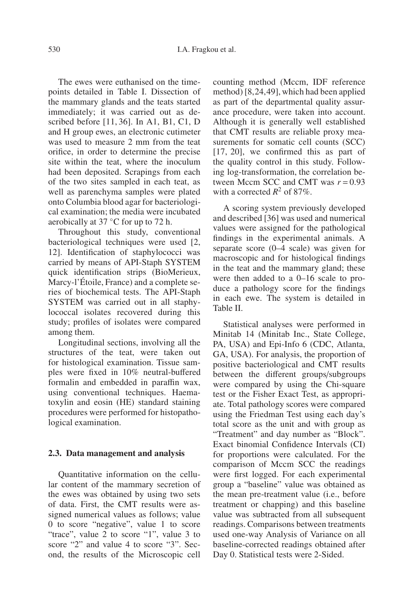The ewes were euthanised on the timepoints detailed in Table I. Dissection of the mammary glands and the teats started immediately; it was carried out as described before [11, 36]. In A1, B1, C1, D and H group ewes, an electronic cutimeter was used to measure 2 mm from the teat orifice, in order to determine the precise site within the teat, where the inoculum had been deposited. Scrapings from each of the two sites sampled in each teat, as well as parenchyma samples were plated onto Columbia blood agar for bacteriological examination; the media were incubated aerobically at 37 ◦C for up to 72 h.

Throughout this study, conventional bacteriological techniques were used [2, 12]. Identification of staphylococci was carried by means of API-Staph SYSTEM quick identification strips (BioMerieux, Marcy-l'Étoile, France) and a complete series of biochemical tests. The API-Staph SYSTEM was carried out in all staphylococcal isolates recovered during this study; profiles of isolates were compared among them.

Longitudinal sections, involving all the structures of the teat, were taken out for histological examination. Tissue samples were fixed in 10% neutral-buffered formalin and embedded in paraffin wax, using conventional techniques. Haematoxylin and eosin (HE) standard staining procedures were performed for histopathological examination.

#### **2.3. Data management and analysis**

Quantitative information on the cellular content of the mammary secretion of the ewes was obtained by using two sets of data. First, the CMT results were assigned numerical values as follows; value 0 to score "negative", value 1 to score "trace", value 2 to score "1", value 3 to score "2" and value 4 to score "3". Second, the results of the Microscopic cell counting method (Mccm, IDF reference method) [8,24,49], which had been applied as part of the departmental quality assurance procedure, were taken into account. Although it is generally well established that CMT results are reliable proxy measurements for somatic cell counts (SCC) [17, 20], we confirmed this as part of the quality control in this study. Following log-transformation, the correlation between Mccm SCC and CMT was  $r = 0.93$ with a corrected  $R^2$  of 87%.

A scoring system previously developed and described [36] was used and numerical values were assigned for the pathological findings in the experimental animals. A separate score (0–4 scale) was given for macroscopic and for histological findings in the teat and the mammary gland; these were then added to a 0–16 scale to produce a pathology score for the findings in each ewe. The system is detailed in Table II.

Statistical analyses were performed in Minitab 14 (Minitab Inc., State College, PA, USA) and Epi-Info 6 (CDC, Atlanta, GA, USA). For analysis, the proportion of positive bacteriological and CMT results between the different groups/subgroups were compared by using the Chi-square test or the Fisher Exact Test, as appropriate. Total pathology scores were compared using the Friedman Test using each day's total score as the unit and with group as "Treatment" and day number as "Block". Exact binomial Confidence Intervals (CI) for proportions were calculated. For the comparison of Mccm SCC the readings were first logged. For each experimental group a "baseline" value was obtained as the mean pre-treatment value (i.e., before treatment or chapping) and this baseline value was subtracted from all subsequent readings. Comparisons between treatments used one-way Analysis of Variance on all baseline-corrected readings obtained after Day 0. Statistical tests were 2-Sided.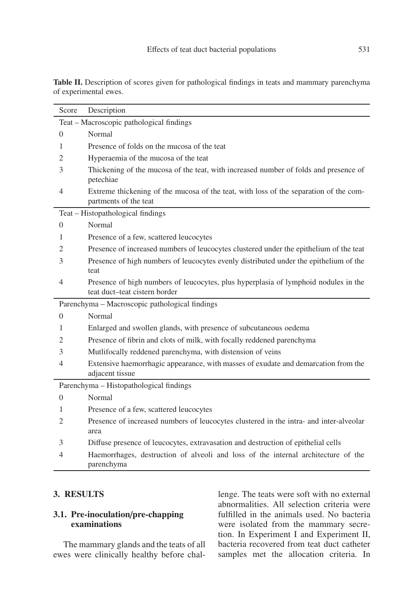| Score        | Description                                                                                                          |
|--------------|----------------------------------------------------------------------------------------------------------------------|
|              | Teat - Macroscopic pathological findings                                                                             |
| $\mathbf{0}$ | Normal                                                                                                               |
| 1            | Presence of folds on the mucosa of the teat                                                                          |
| 2            | Hyperaemia of the mucosa of the teat                                                                                 |
| 3            | Thickening of the mucosa of the teat, with increased number of folds and presence of<br>petechiae                    |
| 4            | Extreme thickening of the mucosa of the teat, with loss of the separation of the com-<br>partments of the teat       |
|              | Teat - Histopathological findings                                                                                    |
| $\Omega$     | Normal                                                                                                               |
| 1            | Presence of a few, scattered leucocytes                                                                              |
| 2            | Presence of increased numbers of leucocytes clustered under the epithelium of the teat                               |
| 3            | Presence of high numbers of leucocytes evenly distributed under the epithelium of the                                |
|              | teat                                                                                                                 |
| 4            | Presence of high numbers of leucocytes, plus hyperplasia of lymphoid nodules in the<br>teat duct-teat cistern border |
|              |                                                                                                                      |
| $\Omega$     | Parenchyma - Macroscopic pathological findings<br>Normal                                                             |
| 1            |                                                                                                                      |
| 2            | Enlarged and swollen glands, with presence of subcutaneous oedema                                                    |
|              | Presence of fibrin and clots of milk, with focally reddened parenchyma                                               |
| 3            | Mutlifocally reddened parenchyma, with distension of veins                                                           |
| 4            | Extensive haemorrhagic appearance, with masses of exudate and demarcation from the<br>adjacent tissue                |
|              | Parenchyma - Histopathological findings                                                                              |
| $\Omega$     | Normal                                                                                                               |
| 1            | Presence of a few, scattered leucocytes                                                                              |
| 2            | Presence of increased numbers of leucocytes clustered in the intra- and inter-alveolar<br>area                       |
| 3            | Diffuse presence of leucocytes, extravasation and destruction of epithelial cells                                    |
| 4            | Haemorrhages, destruction of alveoli and loss of the internal architecture of the<br>parenchyma                      |

**Table II.** Description of scores given for pathological findings in teats and mammary parenchyma of experimental ewes.

## **3. RESULTS**

# **3.1. Pre-inoculation**/**pre-chapping examinations**

The mammary glands and the teats of all ewes were clinically healthy before chal-

lenge. The teats were soft with no external abnormalities. All selection criteria were fulfilled in the animals used. No bacteria were isolated from the mammary secretion. In Experiment I and Experiment II, bacteria recovered from teat duct catheter samples met the allocation criteria. In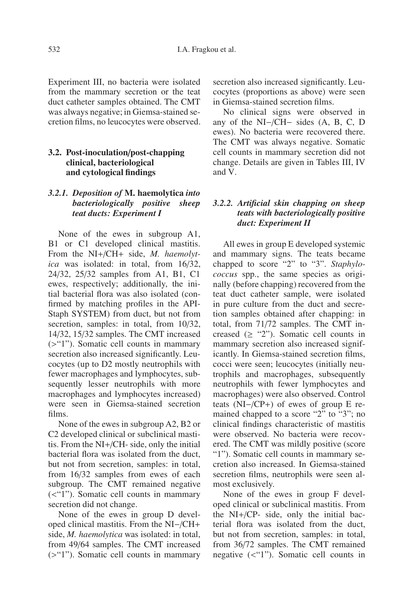Experiment III, no bacteria were isolated from the mammary secretion or the teat duct catheter samples obtained. The CMT was always negative; in Giemsa-stained secretion films, no leucocytes were observed.

### **3.2. Post-inoculation**/**post-chapping clinical, bacteriological and cytological findings**

# *3.2.1. Deposition of* **M. haemolytica** *into bacteriologically positive sheep teat ducts: Experiment I*

None of the ewes in subgroup A1, B1 or C1 developed clinical mastitis. From the NI+/CH+ side, *M. haemolytica* was isolated: in total, from 16/32, 24/32, 25/32 samples from A1, B1, C1 ewes, respectively; additionally, the initial bacterial flora was also isolated (confirmed by matching profiles in the API-Staph SYSTEM) from duct, but not from secretion, samples: in total, from  $10/32$ , 14/32, 15/32 samples. The CMT increased (>"1"). Somatic cell counts in mammary secretion also increased significantly. Leucocytes (up to D2 mostly neutrophils with fewer macrophages and lymphocytes, subsequently lesser neutrophils with more macrophages and lymphocytes increased) were seen in Giemsa-stained secretion films.

None of the ewes in subgroup A2, B2 or C2 developed clinical or subclinical mastitis. From the NI+/CH- side, only the initial bacterial flora was isolated from the duct, but not from secretion, samples: in total, from 16/32 samples from ewes of each subgroup. The CMT remained negative (<"1"). Somatic cell counts in mammary secretion did not change.

None of the ewes in group D developed clinical mastitis. From the NI−/CH+ side, *M. haemolytica* was isolated: in total, from 49/64 samples. The CMT increased (>"1"). Somatic cell counts in mammary secretion also increased significantly. Leucocytes (proportions as above) were seen in Giemsa-stained secretion films.

No clinical signs were observed in any of the NI−/CH− sides (A, B, C, D ewes). No bacteria were recovered there. The CMT was always negative. Somatic cell counts in mammary secretion did not change. Details are given in Tables III, IV and V.

## *3.2.2. Artificial skin chapping on sheep teats with bacteriologically positive duct: Experiment II*

All ewes in group E developed systemic and mammary signs. The teats became chapped to score "2" to "3". *Staphylococcus* spp., the same species as originally (before chapping) recovered from the teat duct catheter sample, were isolated in pure culture from the duct and secretion samples obtained after chapping: in total, from 71/72 samples. The CMT increased  $(≥ "2")$ . Somatic cell counts in mammary secretion also increased significantly. In Giemsa-stained secretion films, cocci were seen; leucocytes (initially neutrophils and macrophages, subsequently neutrophils with fewer lymphocytes and macrophages) were also observed. Control teats (NI−/CP+) of ewes of group E remained chapped to a score "2" to "3"; no clinical findings characteristic of mastitis were observed. No bacteria were recovered. The CMT was mildly positive (score "1"). Somatic cell counts in mammary secretion also increased. In Giemsa-stained secretion films, neutrophils were seen almost exclusively.

None of the ewes in group F developed clinical or subclinical mastitis. From the NI+/CP- side, only the initial bacterial flora was isolated from the duct, but not from secretion, samples: in total, from 36/72 samples. The CMT remained negative (<"1"). Somatic cell counts in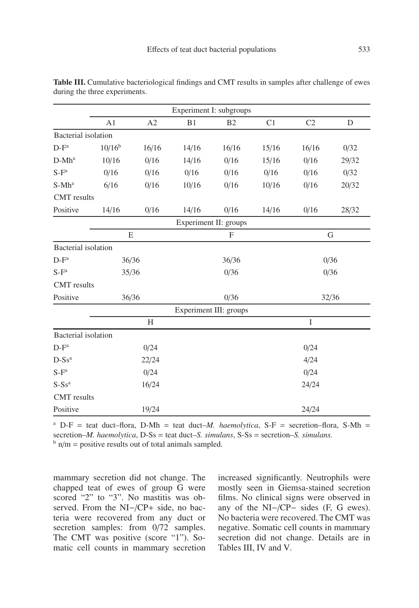|                            |           |       | Experiment I: subgroups |                        |       |                |       |
|----------------------------|-----------|-------|-------------------------|------------------------|-------|----------------|-------|
|                            | A1        | A2    | B1                      | B <sub>2</sub>         | C1    | C <sub>2</sub> | D     |
| <b>Bacterial</b> isolation |           |       |                         |                        |       |                |       |
| $D-F^a$                    | $10/16^b$ | 16/16 | 14/16                   | 16/16                  | 15/16 | 16/16          | 0/32  |
| $D-Mh^a$                   | 10/16     | 0/16  | 14/16                   | 0/16                   | 15/16 | 0/16           | 29/32 |
| $S-F^a$                    | 0/16      | 0/16  | 0/16                    | 0/16                   | 0/16  | 0/16           | 0/32  |
| $S-Mh^a$                   | 6/16      | 0/16  | 10/16                   | 0/16                   | 10/16 | 0/16           | 20/32 |
| <b>CMT</b> results         |           |       |                         |                        |       |                |       |
| Positive                   | 14/16     | 0/16  | 14/16                   | 0/16                   | 14/16 | 0/16           | 28/32 |
|                            |           |       |                         | Experiment II: groups  |       |                |       |
|                            | Ε         |       |                         | F                      |       |                | G     |
| Bacterial isolation        |           |       |                         |                        |       |                |       |
| $D-F^a$                    | 36/36     |       |                         | 36/36                  |       |                | 0/36  |
| $S-F^a$                    | 35/36     |       |                         | 0/36                   |       |                | 0/36  |
| <b>CMT</b> results         |           |       |                         |                        |       |                |       |
| Positive                   | 36/36     |       |                         | 0/36                   |       |                | 32/36 |
|                            |           |       |                         | Experiment III: groups |       |                |       |
|                            |           | H     |                         |                        |       | I              |       |
| <b>Bacterial</b> isolation |           |       |                         |                        |       |                |       |
| $D-F^a$                    |           | 0/24  |                         |                        |       | 0/24           |       |
| $D-Ss^a$                   |           | 22/24 |                         |                        |       | 4/24           |       |
| $S-F^a$                    |           | 0/24  |                         |                        |       | 0/24           |       |

**Table III.** Cumulative bacteriological findings and CMT results in samples after challenge of ewes during the three experiments.

<sup>a</sup> D-F = teat duct–flora, D-Mh = teat duct–*M. haemolytica*, S-F = secretion–flora, S-Mh = secretion–*M. haemolytica*, D-Ss = teat duct–*S. simulans*, S-Ss = secretion–*S. simulans.*  $b$  n/m = positive results out of total animals sampled.

 $S-Ss<sup>a</sup>$  24/24

Positive 19/24 24/24

mammary secretion did not change. The chapped teat of ewes of group G were scored "2" to "3". No mastitis was observed. From the NI−/CP+ side, no bacteria were recovered from any duct or secretion samples: from  $0/72$  samples. The CMT was positive (score "1"). Somatic cell counts in mammary secretion

CMT results

increased significantly. Neutrophils were mostly seen in Giemsa-stained secretion films. No clinical signs were observed in any of the NI−/CP− sides (F, G ewes). No bacteria were recovered. The CMT was negative. Somatic cell counts in mammary secretion did not change. Details are in Tables III, IV and V.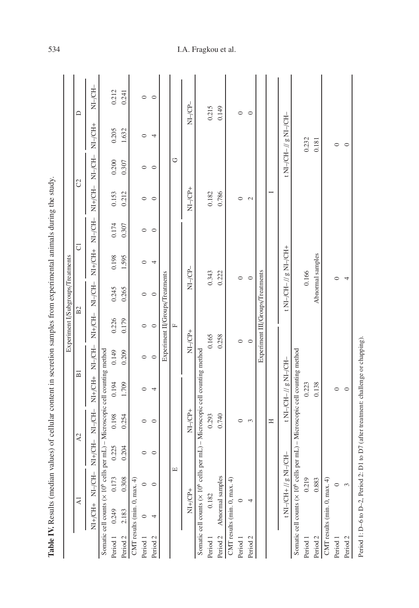|          |                                              |                        |           |            |                                                                                         |           | Experiment I/Subgroups/Treatments |            |                        |          |               |                |                        |         |
|----------|----------------------------------------------|------------------------|-----------|------------|-----------------------------------------------------------------------------------------|-----------|-----------------------------------|------------|------------------------|----------|---------------|----------------|------------------------|---------|
|          | $\overline{A}$                               |                        |           | A2         | $\overline{B}$                                                                          |           | B2                                |            | $\overline{C}$         |          |               | C <sub>2</sub> |                        | $\Box$  |
|          |                                              |                        | $NI+/CH-$ | $NI$ -/CH- | $N1+/CH$                                                                                | $NI$ -CH- | $N1+/CH-$                         | $NI$ -/CH- | $NI+CH+$               | $N1-CH-$ | $NI+/CH-$     | $N1-CH-$       | $NI$ -/CH+             | NI-/CH- |
|          | Somatic cell counts (× 10 <sup>6</sup> cells |                        |           |            | per mL) - Microscopic cell counting method                                              |           |                                   |            |                        |          |               |                |                        |         |
| Period 1 | 0.249                                        | 0.173                  | 0.225     | 0.198      | 0.194                                                                                   | 0.149     | 0.226                             | 0.245      | 0.198                  | 0.174    | 0.153         | 0.200          | 0.205                  | 0.212   |
| Period 2 | 2.183                                        | 0.308                  | 0.204     | 0.254      | 1.709                                                                                   | 0.209     | 0.179                             | 0.265      | 1.595                  | 0.307    | 0.212         | 0.307          | 1.632                  | 0.241   |
|          | CMT results (min. 0, max. 4)                 |                        |           |            |                                                                                         |           |                                   |            |                        |          |               |                |                        |         |
| Period 1 |                                              |                        | $\circ$   | $\circ$    | $\circ$                                                                                 | $\circ$   | $\circ$                           | $\circ$    | $\circ$                | $\circ$  | $\circ$       | $\circ$        | $\circ$                | $\circ$ |
| Period 2 |                                              | $\circ$                | $\circ$   | $\circ$    | 4                                                                                       | $\circ$   | $\circ$                           | $\circ$    | 4                      | $\circ$  | $\circ$       | $\circ$        | 4                      | $\circ$ |
|          |                                              |                        |           |            |                                                                                         |           | Experiment II/Groups/Treatments   |            |                        |          |               |                |                        |         |
|          |                                              |                        | щ         |            |                                                                                         |           | $\mathbb{L}$                      |            |                        |          |               | O              |                        |         |
|          | $\overline{N}$ <sup>+</sup>                  |                        |           | $NI-CP+$   |                                                                                         |           | $\overline{CP}$                   |            | NI-/CP-                |          | $NI - CP +$   |                |                        | NI-/CP- |
|          | Somatic cell counts (× 10 <sup>6</sup> cells |                        |           |            | per mL) - Microscopic cell counting method                                              |           |                                   |            |                        |          |               |                |                        |         |
| Period 1 | 0.182                                        |                        |           | 0.293      |                                                                                         |           | 0.165                             |            | 0.343                  |          | 0.182         |                |                        | 0.215   |
| Period 2 | Abnormal samples                             |                        |           | 0.740      |                                                                                         |           | 0.258                             |            | 0.222                  |          | 0.786         |                |                        | 0.149   |
|          | CMT results (min. 0, max. 4)                 |                        |           |            |                                                                                         |           |                                   |            |                        |          |               |                |                        |         |
| Period 1 |                                              |                        |           | $\circ$    |                                                                                         |           | $\circ$                           |            | $\circ$                |          | $\circ$       |                |                        | $\circ$ |
| Period 2 | 4                                            |                        |           | 3          |                                                                                         |           | $\circ$                           |            | $\circ$                |          | $\mathcal{L}$ |                |                        | $\circ$ |
|          |                                              |                        |           |            |                                                                                         |           | Experiment III/Groups/Treatments  |            |                        |          |               |                |                        |         |
|          |                                              |                        |           | Ξ          |                                                                                         |           |                                   |            |                        |          |               |                |                        |         |
|          |                                              | t NI-/CH+ // g NI-/CH- |           |            | t NI-/CH- // g NI-/CH-                                                                  |           |                                   |            | t N1-/CH- // g N1-/CH+ |          |               |                | t NI-/CH- // g NI-/CH- |         |
|          |                                              |                        |           |            | Somatic cell counts (x 10 <sup>6</sup> cells per mL) - Microscopic cell counting method |           |                                   |            |                        |          |               |                |                        |         |
| Period 1 |                                              | 0.219                  |           |            | 0.223                                                                                   |           |                                   |            | 0.166                  |          |               |                | 0.232                  |         |
| Period 2 |                                              | 0.883                  |           |            | 0.138                                                                                   |           |                                   |            | Abnormal samples       |          |               |                | 0.181                  |         |
|          | CMT results (min. 0, max. 4)                 |                        |           |            |                                                                                         |           |                                   |            |                        |          |               |                |                        |         |
| Period 1 |                                              | 0                      |           |            | 0                                                                                       |           |                                   |            | 0                      |          |               |                | $\circ$                |         |
| Period 2 |                                              | 3                      |           |            | $\circ$                                                                                 |           |                                   |            | 4                      |          |               |                | $\circ$                |         |

Period 1: D–6 to D–2, Period 2: D1 to D7 (after treatment: challenge or chapping).

Period 1: D-6 to D-2, Period 2: D1 to D7 (after treatment: challenge or chapping).

# 534 I.A. Fragkou et al.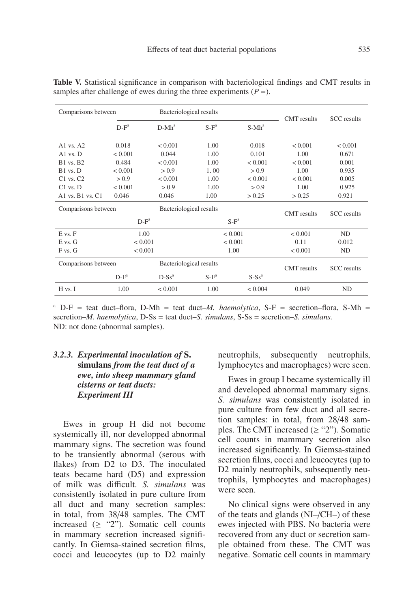| Comparisons between              |         | Bacteriological results |         |          | <b>CMT</b> results | <b>SCC</b> results |
|----------------------------------|---------|-------------------------|---------|----------|--------------------|--------------------|
|                                  | $D-F^a$ | $D-Mh^a$                | $S-F^a$ | $S-Mh^a$ |                    |                    |
| A <sub>1</sub> vs. $A2$          | 0.018   | < 0.001                 | 1.00    | 0.018    | < 0.001            | < 0.001            |
| $A1$ vs. $D$                     | < 0.001 | 0.044                   | 1.00    | 0.101    | 1.00               | 0.671              |
| <b>B1</b> vs. <b>B2</b>          | 0.484   | < 0.001                 | 1.00    | < 0.001  | < 0.001            | 0.001              |
| B1 vs. D                         | < 0.001 | > 0.9                   | 1.00    | > 0.9    | 1.00               | 0.935              |
| $C1$ vs. $C2$                    | > 0.9   | < 0.001                 | 1.00    | < 0.001  | < 0.001            | 0.005              |
| $C1$ vs. $D$                     | < 0.001 | > 0.9                   | 1.00    | > 0.9    | 1.00               | 0.925              |
| A <sub>1</sub> vs. $B1$ vs. $C1$ | 0.046   | 0.046                   | 1.00    | > 0.25   | > 0.25             | 0.921              |
| Comparisons between              |         | Bacteriological results |         |          | <b>CMT</b> results | <b>SCC</b> results |
|                                  | $D-F^a$ |                         |         | $S-F^a$  |                    |                    |
| E vs. F                          | 1.00    |                         |         | < 0.001  | < 0.001            | ND.                |
| E vs. G                          | < 0.001 |                         |         | < 0.001  | 0.11               | 0.012              |
| F vs. G                          | < 0.001 |                         |         | 1.00     | < 0.001            | ND                 |
| Comparisons between              |         | Bacteriological results |         |          | <b>CMT</b> results | <b>SCC</b> results |
|                                  | $D-F^a$ | $D-Ss^a$                | $S-F^a$ | $S-Ss^a$ |                    |                    |
| H vs. I                          | 1.00    | < 0.001                 | 1.00    | < 0.004  | 0.049              | ND.                |

**Table V.** Statistical significance in comparison with bacteriological findings and CMT results in samples after challenge of ewes during the three experiments  $(P =)$ .

<sup>a</sup> D-F = teat duct–flora, D-Mh = teat duct–*M. haemolytica*, S-F = secretion–flora, S-Mh = secretion–*M. haemolytica*, D-Ss = teat duct–*S. simulans*, S-Ss = secretion–*S. simulans.* ND: not done (abnormal samples).

## *3.2.3. Experimental inoculation of* **S. simulans** *from the teat duct of a ewe, into sheep mammary gland cisterns or teat ducts: Experiment III*

Ewes in group H did not become systemically ill, nor developped abnormal mammary signs. The secretion was found to be transiently abnormal (serous with flakes) from D2 to D3. The inoculated teats became hard (D5) and expression of milk was difficult. *S. simulans* was consistently isolated in pure culture from all duct and many secretion samples: in total, from 38/48 samples. The CMT increased  $(≥ "2")$ . Somatic cell counts in mammary secretion increased significantly. In Giemsa-stained secretion films, cocci and leucocytes (up to D2 mainly neutrophils, subsequently neutrophils, lymphocytes and macrophages) were seen.

Ewes in group I became systemically ill and developed abnormal mammary signs. *S. simulans* was consistently isolated in pure culture from few duct and all secretion samples: in total, from 28/48 samples. The CMT increased  $(\geq$  "2"). Somatic cell counts in mammary secretion also increased significantly. In Giemsa-stained secretion films, cocci and leucocytes (up to D2 mainly neutrophils, subsequently neutrophils, lymphocytes and macrophages) were seen.

No clinical signs were observed in any of the teats and glands (NI–/CH–) of these ewes injected with PBS. No bacteria were recovered from any duct or secretion sample obtained from these. The CMT was negative. Somatic cell counts in mammary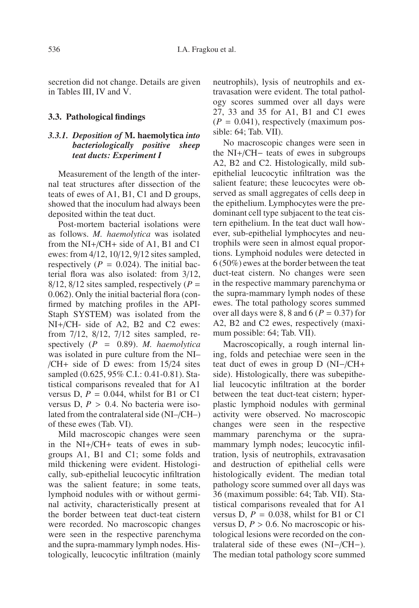secretion did not change. Details are given in Tables III, IV and V.

#### **3.3. Pathological findings**

## *3.3.1. Deposition of* **M. haemolytica** *into bacteriologically positive sheep teat ducts: Experiment I*

Measurement of the length of the internal teat structures after dissection of the teats of ewes of A1, B1, C1 and D groups, showed that the inoculum had always been deposited within the teat duct.

Post-mortem bacterial isolations were as follows. *M. haemolytica* was isolated from the NI+/CH+ side of A1, B1 and C1 ewes: from 4/12, 10/12, 9/12 sites sampled, respectively  $(P = 0.024)$ . The initial bacterial flora was also isolated: from 3/12,  $8/12$ ,  $8/12$  sites sampled, respectively ( $P =$ 0.062). Only the initial bacterial flora (confirmed by matching profiles in the API-Staph SYSTEM) was isolated from the NI+/CH- side of A2, B2 and C2 ewes: from 7/12, 8/12, 7/12 sites sampled, respectively (*P* = 0.89). *M. haemolytica* was isolated in pure culture from the NI– /CH+ side of D ewes: from 15/24 sites sampled (0.625, 95% C.I.: 0.41-0.81). Statistical comparisons revealed that for A1 versus D,  $P = 0.044$ , whilst for B1 or C1 versus D,  $P > 0.4$ . No bacteria were isolated from the contralateral side (NI–/CH–) of these ewes (Tab. VI).

Mild macroscopic changes were seen in the NI+/CH+ teats of ewes in subgroups A1, B1 and C1; some folds and mild thickening were evident. Histologically, sub-epithelial leucocytic infiltration was the salient feature; in some teats, lymphoid nodules with or without germinal activity, characteristically present at the border between teat duct-teat cistern were recorded. No macroscopic changes were seen in the respective parenchyma and the supra-mammary lymph nodes. Histologically, leucocytic infiltration (mainly neutrophils), lysis of neutrophils and extravasation were evident. The total pathology scores summed over all days were 27, 33 and 35 for A1, B1 and C1 ewes  $(P = 0.041)$ , respectively (maximum possible: 64; Tab. VII).

No macroscopic changes were seen in the NI+/CH− teats of ewes in subgroups A2, B2 and C2. Histologically, mild subepithelial leucocytic infiltration was the salient feature; these leucocytes were observed as small aggregates of cells deep in the epithelium. Lymphocytes were the predominant cell type subjacent to the teat cistern epithelium. In the teat duct wall however, sub-epithelial lymphocytes and neutrophils were seen in almost equal proportions. Lymphoid nodules were detected in 6 (50%) ewes at the border between the teat duct-teat cistern. No changes were seen in the respective mammary parenchyma or the supra-mammary lymph nodes of these ewes. The total pathology scores summed over all days were 8, 8 and 6 ( $P = 0.37$ ) for A2, B2 and C2 ewes, respectively (maximum possible: 64; Tab. VII).

Macroscopically, a rough internal lining, folds and petechiae were seen in the teat duct of ewes in group D (NI−/CH+ side). Histologically, there was subepithelial leucocytic infiltration at the border between the teat duct-teat cistern; hyperplastic lymphoid nodules with germinal activity were observed. No macroscopic changes were seen in the respective mammary parenchyma or the supramammary lymph nodes; leucocytic infiltration, lysis of neutrophils, extravasation and destruction of epithelial cells were histologically evident. The median total pathology score summed over all days was 36 (maximum possible: 64; Tab. VII). Statistical comparisons revealed that for A1 versus D,  $P = 0.038$ , whilst for B1 or C1 versus D,  $P > 0.6$ . No macroscopic or histological lesions were recorded on the contralateral side of these ewes (NI−/CH−). The median total pathology score summed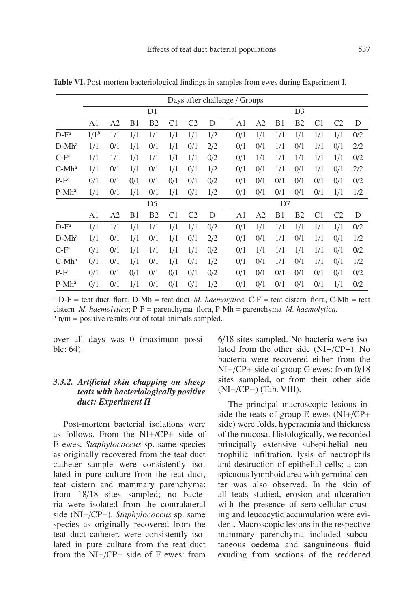|          |                |                |     |                |                |                | Days after challenge / Groups |                |                |     |                |                |                |     |
|----------|----------------|----------------|-----|----------------|----------------|----------------|-------------------------------|----------------|----------------|-----|----------------|----------------|----------------|-----|
|          |                |                |     | D1             |                |                |                               |                |                |     | D <sub>3</sub> |                |                |     |
|          | A <sub>1</sub> | A <sub>2</sub> | B1  | B <sub>2</sub> | C1             | C <sub>2</sub> | D                             | A <sub>1</sub> | A2             | B1  | B <sub>2</sub> | C <sub>1</sub> | C <sub>2</sub> | D   |
| $D-F^a$  | $1/1^{b}$      | 1/1            | 1/1 | 1/1            | 1/1            | 1/1            | 1/2                           | 0/1            | 1/1            | 1/1 | 1/1            | 1/1            | 1/1            | 0/2 |
| $D-Mh^a$ | 1/1            | 0/1            | 1/1 | 0/1            | 1/1            | 0/1            | 2/2                           | 0/1            | 0/1            | 1/1 | 0/1            | 1/1            | 0/1            | 2/2 |
| $C-F^a$  | 1/1            | 1/1            | 1/1 | 1/1            | 1/1            | 1/1            | 0/2                           | 0/1            | 1/1            | 1/1 | 1/1            | 1/1            | 1/1            | 0/2 |
| $C-Mha$  | 1/1            | 0/1            | 1/1 | 0/1            | 1/1            | 0/1            | 1/2                           | 0/1            | 0/1            | 1/1 | 0/1            | 1/1            | 0/1            | 2/2 |
| $P-F^a$  | 0/1            | 0/1            | 0/1 | 0/1            | 0/1            | 0/1            | 0/2                           | 0/1            | 0/1            | 0/1 | 0/1            | 0/1            | 0/1            | 0/2 |
| $P-Mh^a$ | 1/1            | 0/1            | 1/1 | 0/1            | 1/1            | 0/1            | 1/2                           | 0/1            | 0/1            | 0/1 | 0/1            | 0/1            | 1/1            | 1/2 |
|          |                |                |     | D <sub>5</sub> |                |                |                               |                |                | D7  |                |                |                |     |
|          | A1             | A <sub>2</sub> | B1  | B <sub>2</sub> | C <sub>1</sub> | C <sub>2</sub> | D                             | A1             | A <sub>2</sub> | B1  | B <sub>2</sub> | C <sub>1</sub> | C <sub>2</sub> | D   |
| $D-F^a$  | 1/1            | 1/1            | 1/1 | 1/1            | 1/1            | 1/1            | 0/2                           | 0/1            | 1/1            | 1/1 | 1/1            | 1/1            | 1/1            | 0/2 |
| $D-Mh^a$ | 1/1            | 0/1            | 1/1 | 0/1            | 1/1            | 0/1            | 2/2                           | 0/1            | 0/1            | 1/1 | 0/1            | 1/1            | 0/1            | 1/2 |
| $C-F^a$  | 0/1            | 0/1            | 1/1 | 1/1            | 1/1            | 1/1            | 0/2                           | 0/1            | 1/1            | 1/1 | 1/1            | 1/1            | 0/1            | 0/2 |
| $C-Mha$  | 0/1            | 0/1            | 1/1 | 0/1            | 1/1            | 0/1            | 1/2                           | 0/1            | 0/1            | 1/1 | 0/1            | 1/1            | 0/1            | 1/2 |
| $P-F^a$  | 0/1            | 0/1            | 0/1 | 0/1            | 0/1            | 0/1            | 0/2                           | 0/1            | 0/1            | 0/1 | 0/1            | 0/1            | 0/1            | 0/2 |
| $P-Mh^a$ | 0/1            | 0/1            | 1/1 | 0/1            | 0/1            | 0/1            | 1/2                           | 0/1            | 0/1            | 0/1 | 0/1            | 0/1            | 1/1            | 0/2 |

**Table VI.** Post-mortem bacteriological findings in samples from ewes during Experiment I.

<sup>a</sup> D-F = teat duct–flora, D-Mh = teat duct–*M, haemolytica*, C-F = teat cistern–flora, C-Mh = teat cistern–*M. haemolytica*; P-F = parenchyma–flora, P-Mh = parenchyma–*M. haemolytica.*  $b$  n/m = positive results out of total animals sampled.

over all days was 0 (maximum possible: 64).

## *3.3.2. Artificial skin chapping on sheep teats with bacteriologically positive duct: Experiment II*

Post-mortem bacterial isolations were as follows. From the NI+/CP+ side of E ewes, *Staphylococcus* sp. same species as originally recovered from the teat duct catheter sample were consistently isolated in pure culture from the teat duct, teat cistern and mammary parenchyma: from 18/18 sites sampled; no bacteria were isolated from the contralateral side (NI−/CP−). *Staphylococcus* sp. same species as originally recovered from the teat duct catheter, were consistently isolated in pure culture from the teat duct from the NI+/CP− side of F ewes: from 6/18 sites sampled. No bacteria were isolated from the other side (NI−/CP−). No bacteria were recovered either from the NI−/CP+ side of group G ewes: from 0/18 sites sampled, or from their other side (NI−/CP−) (Tab. VIII).

The principal macroscopic lesions inside the teats of group E ewes (NI+/CP+ side) were folds, hyperaemia and thickness of the mucosa. Histologically, we recorded principally extensive subepithelial neutrophilic infiltration, lysis of neutrophils and destruction of epithelial cells; a conspicuous lymphoid area with germinal center was also observed. In the skin of all teats studied, erosion and ulceration with the presence of sero-cellular crusting and leucocytic accumulation were evident. Macroscopic lesions in the respective mammary parenchyma included subcutaneous oedema and sanguineous fluid exuding from sections of the reddened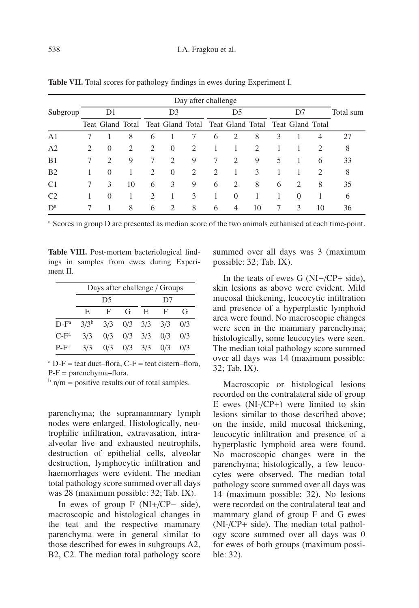|                |   |                             |    |                               |                                                                     | Day after challenge |                             |                             |                             |   |                             |                             |           |
|----------------|---|-----------------------------|----|-------------------------------|---------------------------------------------------------------------|---------------------|-----------------------------|-----------------------------|-----------------------------|---|-----------------------------|-----------------------------|-----------|
| Subgroup       |   | D1                          |    |                               | D <sub>3</sub>                                                      |                     |                             | D <sub>5</sub>              |                             |   | D7                          |                             | Total sum |
|                |   |                             |    |                               | Teat Gland Total Teat Gland Total Teat Gland Total Teat Gland Total |                     |                             |                             |                             |   |                             |                             |           |
| A <sub>1</sub> |   |                             | 8  | 6                             |                                                                     |                     | 6                           | 2                           | 8                           | 3 |                             | 4                           | 27        |
| A <sub>2</sub> | 2 | $\overline{0}$              | 2  | $\mathfrak{D}_{\mathfrak{p}}$ | $\Omega$                                                            | 2                   |                             |                             | $\mathcal{D}_{\mathcal{A}}$ |   |                             | $\mathcal{D}_{\mathcal{L}}$ | 8         |
| B1             |   | $\mathcal{D}_{\mathcal{L}}$ | 9  |                               | $\mathcal{D}_{\mathcal{L}}$                                         | 9                   | 7                           | $\mathcal{D}_{\mathcal{A}}$ | 9                           | 5 |                             | 6                           | 33        |
| B <sub>2</sub> |   | $\Omega$                    |    | $\mathcal{L}$                 | $\Omega$                                                            | 2                   | $\mathcal{D}_{\mathcal{L}}$ |                             | 3                           |   |                             | $\mathcal{D}_{\mathcal{L}}$ | 8         |
| C <sub>1</sub> |   | 3                           | 10 | 6                             | 3                                                                   | 9                   | 6                           | $\overline{c}$              | 8                           | 6 | $\mathcal{D}_{\mathcal{L}}$ | 8                           | 35        |
| C <sub>2</sub> |   | $\Omega$                    |    | $\mathcal{D}_{\mathcal{L}}$   |                                                                     | 3                   |                             | $\Omega$                    |                             |   | $\Omega$                    |                             | 6         |
| $D^a$          |   |                             | 8  | 6                             | $\mathcal{D}_{\mathcal{L}}$                                         | 8                   | 6                           | $\overline{4}$              | 10                          |   | 3                           | 10                          | 36        |

**Table VII.** Total scores for pathology findings in ewes during Experiment I.

<sup>a</sup> Scores in group D are presented as median score of the two animals euthanised at each time-point.

**Table VIII.** Post-mortem bacteriological findings in samples from ewes during Experiment II.

|         |           | Days after challenge / Groups |   |                         |     |     |
|---------|-----------|-------------------------------|---|-------------------------|-----|-----|
|         |           | D5                            |   |                         | D7  |     |
|         | E         | F                             | G | E.                      | F   | G   |
| $D-F^a$ | $3/3^{b}$ |                               |   | $3/3$ $0/3$ $3/3$ $3/3$ |     | 0/3 |
| $C-F^a$ | 3/3       | 0/3                           |   | $0/3$ $3/3$             | 0/3 | 0/3 |
| $P-F^a$ | 3/3       | 0/3                           |   | $0/3$ $3/3$             | 0/3 | 0/3 |

 $^{\circ}$  D-F = teat duct–flora, C-F = teat cistern–flora,  $P-F = parenchyma-flora.$ 

 $\frac{b}{m}$  n/m = positive results out of total samples.

parenchyma; the supramammary lymph nodes were enlarged. Histologically, neutrophilic infiltration, extravasation, intraalveolar live and exhausted neutrophils, destruction of epithelial cells, alveolar destruction, lymphocytic infiltration and haemorrhages were evident. The median total pathology score summed over all days was 28 (maximum possible: 32; Tab. IX).

In ewes of group F (NI+/CP− side), macroscopic and histological changes in the teat and the respective mammary parenchyma were in general similar to those described for ewes in subgroups A2, B2, C2. The median total pathology score summed over all days was 3 (maximum possible: 32; Tab. IX).

In the teats of ewes G (NI−/CP+ side), skin lesions as above were evident. Mild mucosal thickening, leucocytic infiltration and presence of a hyperplastic lymphoid area were found. No macroscopic changes were seen in the mammary parenchyma; histologically, some leucocytes were seen. The median total pathology score summed over all days was 14 (maximum possible: 32; Tab. IX).

Macroscopic or histological lesions recorded on the contralateral side of group E ewes (NI-/CP+) were limited to skin lesions similar to those described above; on the inside, mild mucosal thickening, leucocytic infiltration and presence of a hyperplastic lymphoid area were found. No macroscopic changes were in the parenchyma; histologically, a few leucocytes were observed. The median total pathology score summed over all days was 14 (maximum possible: 32). No lesions were recorded on the contralateral teat and mammary gland of group F and G ewes (NI-/CP+ side). The median total pathology score summed over all days was 0 for ewes of both groups (maximum possible: 32).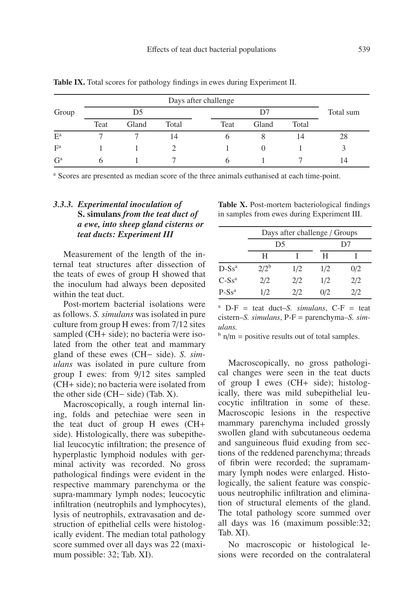|       |      |       |       | Days after challenge |       |       |           |
|-------|------|-------|-------|----------------------|-------|-------|-----------|
| Group |      | D5    |       |                      | D7    |       | Total sum |
|       | Teat | Gland | Total | Teat                 | Gland | Total |           |
| $E^a$ |      |       | 14    |                      |       | 14    | 28        |
| $F^a$ |      |       |       |                      |       |       |           |
| $G^a$ |      |       |       |                      |       |       |           |

**Table IX.** Total scores for pathology findings in ewes during Experiment II.

<sup>a</sup> Scores are presented as median score of the three animals euthanised at each time-point.

# *3.3.3. Experimental inoculation of* **S. simulans** *from the teat duct of a ewe, into sheep gland cisterns or teat ducts: Experiment III*

Measurement of the length of the internal teat structures after dissection of the teats of ewes of group H showed that the inoculum had always been deposited within the teat duct.

Post-mortem bacterial isolations were as follows. *S. simulans* was isolated in pure culture from group H ewes: from 7/12 sites sampled (CH+ side); no bacteria were isolated from the other teat and mammary gland of these ewes (CH− side). *S. simulans* was isolated in pure culture from group I ewes: from 9/12 sites sampled (CH+ side); no bacteria were isolated from the other side (CH− side) (Tab. X).

Macroscopically, a rough internal lining, folds and petechiae were seen in the teat duct of group H ewes (CH+ side). Histologically, there was subepithelial leucocytic infiltration; the presence of hyperplastic lymphoid nodules with germinal activity was recorded. No gross pathological findings were evident in the respective mammary parenchyma or the supra-mammary lymph nodes; leucocytic infiltration (neutrophils and lymphocytes), lysis of neutrophils, extravasation and destruction of epithelial cells were histologically evident. The median total pathology score summed over all days was 22 (maximum possible: 32; Tab. XI).

**Table X.** Post-mortem bacteriological findings in samples from ewes during Experiment III.

|                      |           | Days after challenge / Groups |     |     |
|----------------------|-----------|-------------------------------|-----|-----|
|                      | D5        |                               |     | D7  |
|                      | Н         |                               | Н   |     |
| $D-Ss^a$             | $2/2^{b}$ | 1/2                           | 1/2 | 0/2 |
| $C$ -Ss <sup>a</sup> | 2/2       | 2/2                           | 1/2 | 2/2 |
| $P-Ss^a$             | 1/2       | 2/2                           | 0/2 | 2/2 |

 $^{a}$  D-F = teat duct–*S. simulans*, C-F = teat cistern–*S. simulans*, P-F = parenchyma–*S. simulans.*

 $b$  n/m = positive results out of total samples.

Macroscopically, no gross pathological changes were seen in the teat ducts of group I ewes (CH+ side); histologically, there was mild subepithelial leucocytic infiltration in some of these. Macroscopic lesions in the respective mammary parenchyma included grossly swollen gland with subcutaneous oedema and sanguineous fluid exuding from sections of the reddened parenchyma; threads of fibrin were recorded; the supramammary lymph nodes were enlarged. Histologically, the salient feature was conspicuous neutrophilic infiltration and elimination of structural elements of the gland. The total pathology score summed over all days was 16 (maximum possible:32; Tab. XI).

No macroscopic or histological lesions were recorded on the contralateral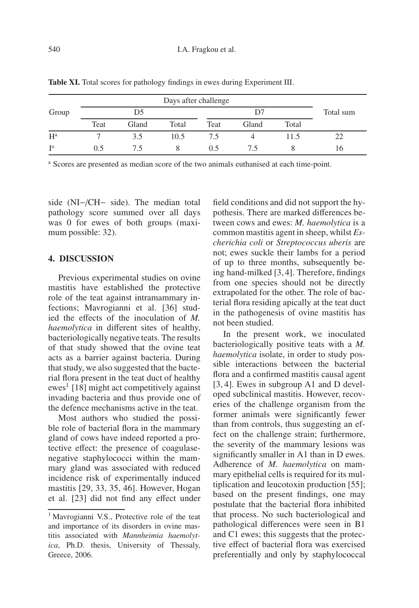|       |      |       |       | Days after challenge |       |       |           |
|-------|------|-------|-------|----------------------|-------|-------|-----------|
| Group |      | D5    |       |                      | D7    |       | Total sum |
|       | Teat | Gland | Total | Teat                 | Gland | Total |           |
| $H^a$ |      | 3.5   | 10.5  | 7.5                  |       | 11.5  |           |
| $I^a$ | 0.5  |       |       | 0.5                  | 7.5   |       | 16        |

Table XI. Total scores for pathology findings in ewes during Experiment III.

<sup>a</sup> Scores are presented as median score of the two animals euthanised at each time-point.

side (NI−/CH− side). The median total pathology score summed over all days was 0 for ewes of both groups (maximum possible: 32).

#### **4. DISCUSSION**

Previous experimental studies on ovine mastitis have established the protective role of the teat against intramammary infections; Mavrogianni et al. [36] studied the effects of the inoculation of *M. haemolytica* in different sites of healthy, bacteriologically negative teats. The results of that study showed that the ovine teat acts as a barrier against bacteria. During that study, we also suggested that the bacterial flora present in the teat duct of healthy ewes<sup>1</sup> [18] might act competitively against invading bacteria and thus provide one of the defence mechanisms active in the teat.

Most authors who studied the possible role of bacterial flora in the mammary gland of cows have indeed reported a protective effect: the presence of coagulasenegative staphylococci within the mammary gland was associated with reduced incidence risk of experimentally induced mastitis [29, 33, 35, 46]. However, Hogan et al. [23] did not find any effect under field conditions and did not support the hypothesis. There are marked differences between cows and ewes: *M. haemolytica* is a common mastitis agent in sheep, whilst *Escherichia coli* or *Streptococcus uberis* are not; ewes suckle their lambs for a period of up to three months, subsequently being hand-milked [3, 4]. Therefore, findings from one species should not be directly extrapolated for the other. The role of bacterial flora residing apically at the teat duct in the pathogenesis of ovine mastitis has not been studied.

In the present work, we inoculated bacteriologically positive teats with a *M. haemolytica* isolate, in order to study possible interactions between the bacterial flora and a confirmed mastitis causal agent [3, 4]. Ewes in subgroup A1 and D developed subclinical mastitis. However, recoveries of the challenge organism from the former animals were significantly fewer than from controls, thus suggesting an effect on the challenge strain; furthermore, the severity of the mammary lesions was significantly smaller in A1 than in D ewes. Adherence of *M. haemolytica* on mammary epithelial cells is required for its multiplication and leucotoxin production [55]; based on the present findings, one may postulate that the bacterial flora inhibited that process. No such bacteriological and pathological differences were seen in B1 and C1 ewes; this suggests that the protective effect of bacterial flora was exercised preferentially and only by staphylococcal

<sup>&</sup>lt;sup>1</sup> Mavrogianni V.S., Protective role of the teat and importance of its disorders in ovine mastitis associated with *Mannheimia haemolytica*, Ph.D. thesis, University of Thessaly, Greece, 2006.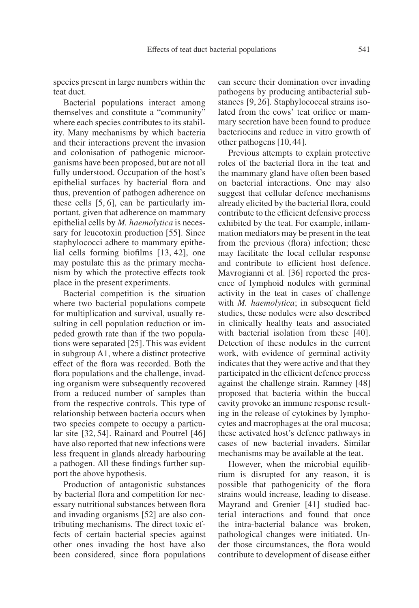species present in large numbers within the teat duct.

Bacterial populations interact among themselves and constitute a "community" where each species contributes to its stability. Many mechanisms by which bacteria and their interactions prevent the invasion and colonisation of pathogenic microorganisms have been proposed, but are not all fully understood. Occupation of the host's epithelial surfaces by bacterial flora and thus, prevention of pathogen adherence on these cells [5, 6], can be particularly important, given that adherence on mammary epithelial cells by *M. haemolytica* is necessary for leucotoxin production [55]. Since staphylococci adhere to mammary epithelial cells forming biofilms [13, 42], one may postulate this as the primary mechanism by which the protective effects took place in the present experiments.

Bacterial competition is the situation where two bacterial populations compete for multiplication and survival, usually resulting in cell population reduction or impeded growth rate than if the two populations were separated [25]. This was evident in subgroup A1, where a distinct protective effect of the flora was recorded. Both the flora populations and the challenge, invading organism were subsequently recovered from a reduced number of samples than from the respective controls. This type of relationship between bacteria occurs when two species compete to occupy a particular site [32, 54]. Rainard and Poutrel [46] have also reported that new infections were less frequent in glands already harbouring a pathogen. All these findings further support the above hypothesis.

Production of antagonistic substances by bacterial flora and competition for necessary nutritional substances between flora and invading organisms [52] are also contributing mechanisms. The direct toxic effects of certain bacterial species against other ones invading the host have also been considered, since flora populations can secure their domination over invading pathogens by producing antibacterial substances [9, 26]. Staphylococcal strains isolated from the cows' teat orifice or mammary secretion have been found to produce bacteriocins and reduce in vitro growth of other pathogens [10, 44].

Previous attempts to explain protective roles of the bacterial flora in the teat and the mammary gland have often been based on bacterial interactions. One may also suggest that cellular defence mechanisms already elicited by the bacterial flora, could contribute to the efficient defensive process exhibited by the teat. For example, inflammation mediators may be present in the teat from the previous (flora) infection; these may facilitate the local cellular response and contribute to efficient host defence. Mavrogianni et al. [36] reported the presence of lymphoid nodules with germinal activity in the teat in cases of challenge with *M. haemolytica*; in subsequent field studies, these nodules were also described in clinically healthy teats and associated with bacterial isolation from these [40]. Detection of these nodules in the current work, with evidence of germinal activity indicates that they were active and that they participated in the efficient defence process against the challenge strain. Ramney [48] proposed that bacteria within the buccal cavity provoke an immune response resulting in the release of cytokines by lymphocytes and macrophages at the oral mucosa; these activated host's defence pathways in cases of new bacterial invaders. Similar mechanisms may be available at the teat.

However, when the microbial equilibrium is disrupted for any reason, it is possible that pathogenicity of the flora strains would increase, leading to disease. Mayrand and Grenier [41] studied bacterial interactions and found that once the intra-bacterial balance was broken, pathological changes were initiated. Under those circumstances, the flora would contribute to development of disease either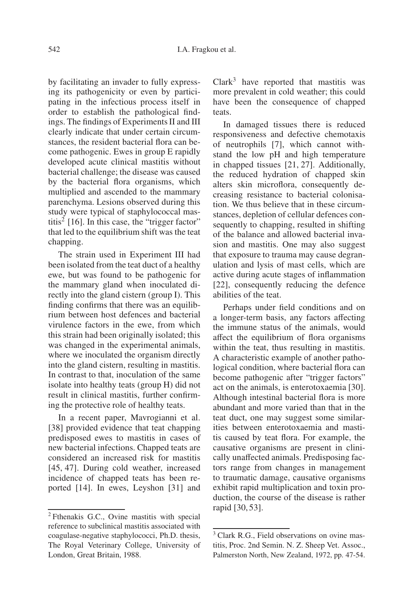by facilitating an invader to fully expressing its pathogenicity or even by participating in the infectious process itself in order to establish the pathological findings. The findings of Experiments II and III clearly indicate that under certain circumstances, the resident bacterial flora can become pathogenic. Ewes in group E rapidly developed acute clinical mastitis without bacterial challenge; the disease was caused by the bacterial flora organisms, which multiplied and ascended to the mammary parenchyma. Lesions observed during this study were typical of staphylococcal mastitis<sup>2</sup> [16]. In this case, the "trigger factor" that led to the equilibrium shift was the teat chapping.

The strain used in Experiment III had been isolated from the teat duct of a healthy ewe, but was found to be pathogenic for the mammary gland when inoculated directly into the gland cistern (group I). This finding confirms that there was an equilibrium between host defences and bacterial virulence factors in the ewe, from which this strain had been originally isolated; this was changed in the experimental animals, where we inoculated the organism directly into the gland cistern, resulting in mastitis. In contrast to that, inoculation of the same isolate into healthy teats (group H) did not result in clinical mastitis, further confirming the protective role of healthy teats.

In a recent paper, Mavrogianni et al. [38] provided evidence that teat chapping predisposed ewes to mastitis in cases of new bacterial infections. Chapped teats are considered an increased risk for mastitis [45, 47]. During cold weather, increased incidence of chapped teats has been reported [14]. In ewes, Leyshon [31] and  $Clark<sup>3</sup>$  have reported that mastitis was more prevalent in cold weather; this could have been the consequence of chapped teats.

In damaged tissues there is reduced responsiveness and defective chemotaxis of neutrophils [7], which cannot withstand the low pH and high temperature in chapped tissues [21, 27]. Additionally, the reduced hydration of chapped skin alters skin microflora, consequently decreasing resistance to bacterial colonisation. We thus believe that in these circumstances, depletion of cellular defences consequently to chapping, resulted in shifting of the balance and allowed bacterial invasion and mastitis. One may also suggest that exposure to trauma may cause degranulation and lysis of mast cells, which are active during acute stages of inflammation [22], consequently reducing the defence abilities of the teat.

Perhaps under field conditions and on a longer-term basis, any factors affecting the immune status of the animals, would affect the equilibrium of flora organisms within the teat, thus resulting in mastitis. A characteristic example of another pathological condition, where bacterial flora can become pathogenic after "trigger factors" act on the animals, is enterotoxaemia [30]. Although intestinal bacterial flora is more abundant and more varied than that in the teat duct, one may suggest some similarities between enterotoxaemia and mastitis caused by teat flora. For example, the causative organisms are present in clinically unaffected animals. Predisposing factors range from changes in management to traumatic damage, causative organisms exhibit rapid multiplication and toxin production, the course of the disease is rather rapid [30, 53].

<sup>2</sup> Fthenakis G.C., Ovine mastitis with special reference to subclinical mastitis associated with coagulase-negative staphylococci, Ph.D. thesis, The Royal Veterinary College, University of London, Great Britain, 1988.

<sup>&</sup>lt;sup>3</sup> Clark R.G., Field observations on ovine mastitis, Proc. 2nd Semin. N. Z. Sheep Vet. Assoc., Palmerston North, New Zealand, 1972, pp. 47-54.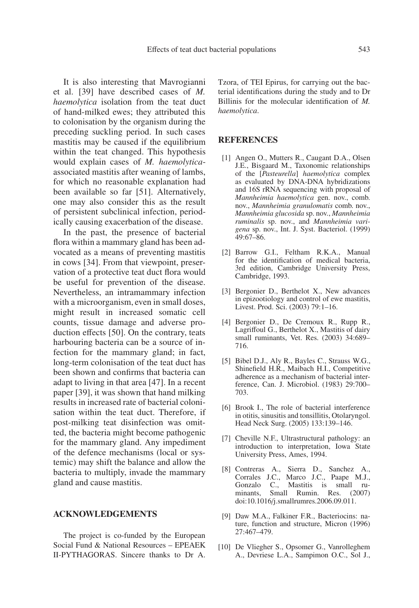It is also interesting that Mavrogianni et al. [39] have described cases of *M. haemolytica* isolation from the teat duct of hand-milked ewes; they attributed this to colonisation by the organism during the preceding suckling period. In such cases mastitis may be caused if the equilibrium within the teat changed. This hypothesis would explain cases of *M. haemolytica*associated mastitis after weaning of lambs, for which no reasonable explanation had been available so far [51]. Alternatively, one may also consider this as the result of persistent subclinical infection, periodically causing exacerbation of the disease.

In the past, the presence of bacterial flora within a mammary gland has been advocated as a means of preventing mastitis in cows [34]. From that viewpoint, preservation of a protective teat duct flora would be useful for prevention of the disease. Nevertheless, an intramammary infection with a microorganism, even in small doses, might result in increased somatic cell counts, tissue damage and adverse production effects [50]. On the contrary, teats harbouring bacteria can be a source of infection for the mammary gland; in fact, long-term colonisation of the teat duct has been shown and confirms that bacteria can adapt to living in that area [47]. In a recent paper [39], it was shown that hand milking results in increased rate of bacterial colonisation within the teat duct. Therefore, if post-milking teat disinfection was omitted, the bacteria might become pathogenic for the mammary gland. Any impediment of the defence mechanisms (local or systemic) may shift the balance and allow the bacteria to multiply, invade the mammary gland and cause mastitis.

#### **ACKNOWLEDGEMENTS**

The project is co-funded by the European Social Fund & National Resources – EPEAEK II-PYTHAGORAS. Sincere thanks to Dr A. Tzora, of TEI Epirus, for carrying out the bacterial identifications during the study and to Dr Billinis for the molecular identification of *M. haemolytica*.

#### **REFERENCES**

- [1] Angen O., Mutters R., Caugant D.A., Olsen J.E., Bisgaard M., Taxonomic relationships of the [*Pasteurella*] *haemolytica* complex as evaluated by DNA-DNA hybridizations and 16S rRNA sequencing with proposal of *Mannheimia haemolytica* gen. nov., comb. nov., *Mannheimia granulomatis* comb. nov., *Mannheimia glucosida* sp. nov., *Mannheimia ruminalis* sp. nov., and *Mannheimia varigena* sp. nov., Int. J. Syst. Bacteriol. (1999) 49:67–86.
- [2] Barrow G.I., Feltham R.K.A., Manual for the identification of medical bacteria, 3rd edition, Cambridge University Press, Cambridge, 1993.
- [3] Bergonier D., Berthelot X., New advances in epizootiology and control of ewe mastitis, Livest. Prod. Sci. (2003) 79:1–16.
- [4] Bergonier D., De Cremoux R., Rupp R., Lagriffoul G., Berthelot X., Mastitis of dairy small ruminants, Vet. Res. (2003) 34:689– 716.
- [5] Bibel D.J., Aly R., Bayles C., Strauss W.G., Shinefield H.R., Maibach H.I., Competitive adherence as a mechanism of bacterial interference, Can. J. Microbiol. (1983) 29:700– 703.
- [6] Brook I., The role of bacterial interference in otitis, sinusitis and tonsillitis, Otolaryngol. Head Neck Surg. (2005) 133:139–146.
- [7] Cheville N.F., Ultrastructural pathology: an introduction to interpretation, Iowa State University Press, Ames, 1994.
- [8] Contreras A., Sierra D., Sanchez A., Corrales J.C., Marco J.C., Paape M.J., Gonzalo C., Mastitis is small ruminants, Small Rumin. Res. (2007) doi:10.1016/j.smallrumres.2006.09.011.
- [9] Daw M.A., Falkiner F.R., Bacteriocins: nature, function and structure, Micron (1996) 27:467–479.
- [10] De Vliegher S., Opsomer G., Vanrolleghem A., Devriese L.A., Sampimon O.C., Sol J.,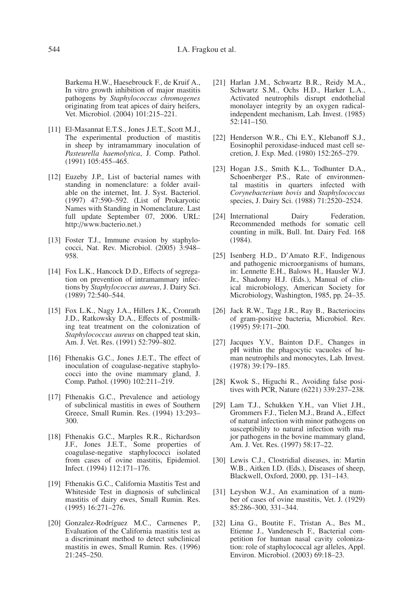Barkema H.W., Haesebrouck F., de Kruif A., In vitro growth inhibition of major mastitis pathogens by *Staphylococcus chromogenes* originating from teat apices of dairy heifers, Vet. Microbiol. (2004) 101:215–221.

- [11] El-Masannat E.T.S., Jones J.E.T., Scott M.J., The experimental production of mastitis in sheep by intramammary inoculation of *Pasteurella haemolytica*, J. Comp. Pathol. (1991) 105:455–465.
- [12] Euzeby J.P., List of bacterial names with standing in nomenclature: a folder available on the internet, Int. J. Syst. Bacteriol. (1997) 47:590–592. (List of Prokaryotic Names with Standing in Nomenclature. Last full update September 07, 2006. URL: http://www.bacterio.net.)
- [13] Foster T.J., Immune evasion by staphylococci, Nat. Rev. Microbiol. (2005) 3:948– 958.
- [14] Fox L.K., Hancock D.D., Effects of segregation on prevention of intramammary infections by *Staphylococcus aureus*, J. Dairy Sci. (1989) 72:540–544.
- [15] Fox L.K., Nagy J.A., Hillers J.K., Cronrath J.D., Ratkowsky D.A., Effects of postmilking teat treatment on the colonization of *Staphylococcus aureus* on chapped teat skin, Am. J. Vet. Res. (1991) 52:799–802.
- [16] Fthenakis G.C., Jones J.E.T., The effect of inoculation of coagulase-negative staphylococci into the ovine mammary gland, J. Comp. Pathol. (1990) 102:211–219.
- [17] Fthenakis G.C., Prevalence and aetiology of subclinical mastitis in ewes of Southern Greece, Small Rumin. Res. (1994) 13:293– 300.
- [18] Fthenakis G.C., Marples R.R., Richardson J.F., Jones J.E.T., Some properties of coagulase-negative staphylococci isolated from cases of ovine mastitis, Epidemiol. Infect. (1994) 112:171–176.
- [19] Fthenakis G.C., California Mastitis Test and Whiteside Test in diagnosis of subclinical mastitis of dairy ewes, Small Rumin. Res.  $(1995)$  16:271–276.
- [20] Gonzalez-Rodríguez M.C., Carmenes P., Evaluation of the California mastitis test as a discriminant method to detect subclinical mastitis in ewes, Small Rumin. Res. (1996) 21:245–250.
- [21] Harlan J.M., Schwartz B.R., Reidy M.A., Schwartz S.M., Ochs H.D., Harker L.A., Activated neutrophils disrupt endothelial monolayer integrity by an oxygen radicalindependent mechanism, Lab. Invest. (1985) 52:141–150.
- [22] Henderson W.R., Chi E.Y., Klebanoff S.J., Eosinophil peroxidase-induced mast cell secretion, J. Exp. Med. (1980) 152:265–279.
- [23] Hogan J.S., Smith K.L., Todhunter D.A., Schoenberger P.S., Rate of environmental mastitis in quarters infected with *Corynebacterium bovis* and *Staphylococcus* species, J. Dairy Sci. (1988) 71:2520–2524.
- [24] International Dairy Federation, Recommended methods for somatic cell counting in milk, Bull. Int. Dairy Fed. 168 (1984).
- [25] Isenberg H.D., D'Amato R.F., Indigenous and pathogenic microorganisms of humans, in: Lennette E.H., Balows H., Hausler W.J. Jr., Shadomy H.J. (Eds.), Manual of clinical microbiology, American Society for Microbiology, Washington, 1985, pp. 24–35.
- [26] Jack R.W., Tagg J.R., Ray B., Bacteriocins of gram-positive bacteria, Microbiol. Rev. (1995) 59:171–200.
- [27] Jacques Y.V., Bainton D.F., Changes in pH within the phagocytic vacuoles of human neutrophils and monocytes, Lab. Invest. (1978) 39:179–185.
- [28] Kwok S., Higuchi R., Avoiding false positives with PCR, Nature (6221) 339:237–238.
- [29] Lam T.J., Schukken Y.H., van Vliet J.H., Grommers F.J., Tielen M.J., Brand A., Effect of natural infection with minor pathogens on susceptibility to natural infection with major pathogens in the bovine mammary gland, Am. J. Vet. Res. (1997) 58:17–22.
- [30] Lewis C.J., Clostridial diseases, in: Martin W.B., Aitken I.D. (Eds.), Diseases of sheep, Blackwell, Oxford, 2000, pp. 131–143.
- [31] Leyshon W.J., An examination of a number of cases of ovine mastitis, Vet. J. (1929) 85:286–300, 331–344.
- [32] Lina G., Boutite F., Tristan A., Bes M., Etienne J., Vandenesch F., Bacterial competition for human nasal cavity colonization: role of staphylococcal agr alleles, Appl. Environ. Microbiol. (2003) 69:18–23.